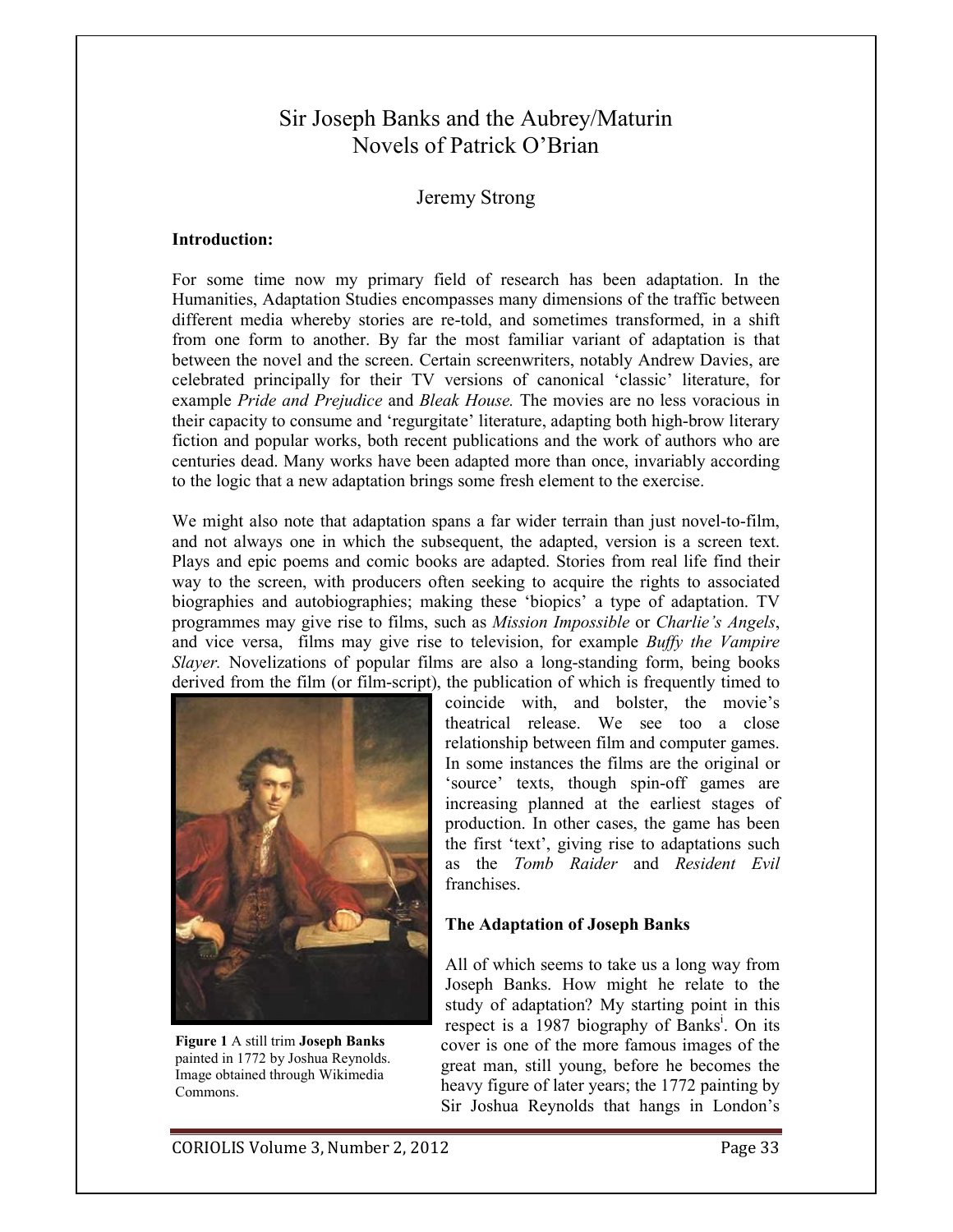# Sir Joseph Banks and the Aubrey/Maturin Novels of Patrick O'Brian

## **Jeremy Strong**

#### **Introduction:**

For some time now my primary field of research has been adaptation. In the Humanities, Adaptation Studies encompasses many dimensions of the traffic between different media whereby stories are re-told, and sometimes transformed, in a shift from one form to another. By far the most familiar variant of adaptation is that between the novel and the screen. Certain screenwriters, notably Andrew Davies, are celebrated principally for their TV versions of canonical 'classic' literature, for example Pride and Prejudice and Bleak House. The movies are no less voracious in their capacity to consume and 'regurgitate' literature, adapting both high-brow literary fiction and popular works, both recent publications and the work of authors who are centuries dead. Many works have been adapted more than once, invariably according to the logic that a new adaptation brings some fresh element to the exercise.

We might also note that adaptation spans a far wider terrain than just novel-to-film, and not always one in which the subsequent, the adapted, version is a screen text. Plays and epic poems and comic books are adapted. Stories from real life find their way to the screen, with producers often seeking to acquire the rights to associated biographies and autobiographies; making these 'biopics' a type of adaptation. TV programmes may give rise to films, such as *Mission Impossible* or *Charlie's Angels*, and vice versa, films may give rise to television, for example *Buffy the Vampire Slayer*. Novelizations of popular films are also a long-standing form, being books derived from the film (or film-script), the publication of which is frequently timed to



Figure 1 A still trim Joseph Banks painted in 1772 by Joshua Reynolds. Image obtained through Wikimedia Commons.

coincide with, and bolster, the movie's theatrical release. We see too a close relationship between film and computer games. In some instances the films are the original or 'source' texts, though spin-off games are increasing planned at the earliest stages of production. In other cases, the game has been the first 'text', giving rise to adaptations such as the Tomb Raider and Resident Evil franchises.

### The Adaptation of Joseph Banks

All of which seems to take us a long way from Joseph Banks. How might he relate to the study of adaptation? My starting point in this respect is a 1987 biography of Banks<sup>1</sup>. On its cover is one of the more famous images of the great man, still young, before he becomes the heavy figure of later years; the 1772 painting by Sir Joshua Reynolds that hangs in London's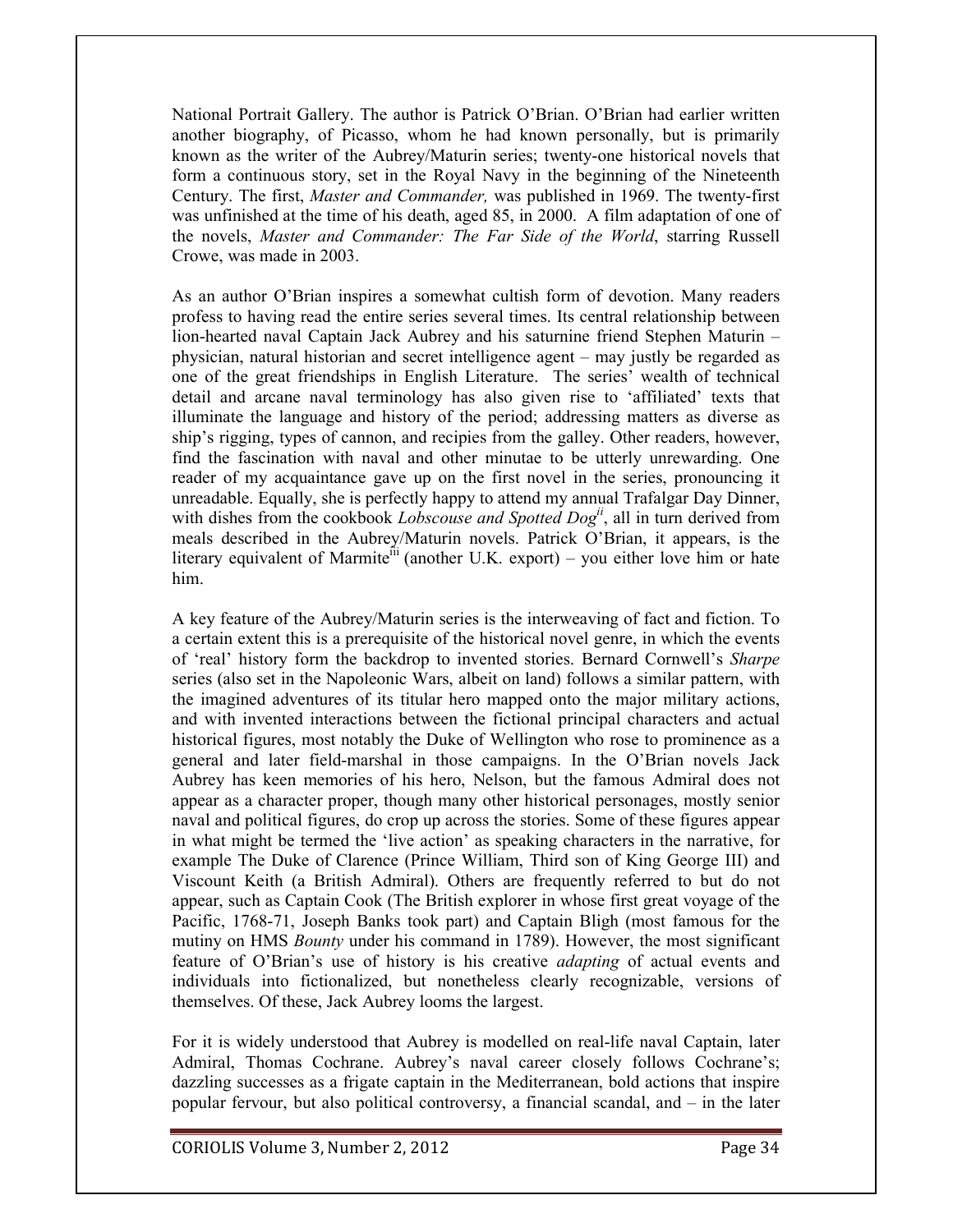National Portrait Gallery. The author is Patrick O'Brian. O'Brian had earlier written another biography, of Picasso, whom he had known personally, but is primarily known as the writer of the Aubrey/Maturin series; twenty-one historical novels that form a continuous story, set in the Royal Navy in the beginning of the Nineteenth Century. The first, *Master and Commander*, was published in 1969. The twenty-first was unfinished at the time of his death, aged 85, in 2000. A film adaptation of one of the novels, Master and Commander: The Far Side of the World, starring Russell Crowe, was made in 2003.

As an author O'Brian inspires a somewhat cultish form of devotion. Many readers profess to having read the entire series several times. Its central relationship between lion-hearted naval Captain Jack Aubrey and his saturnine friend Stephen Maturin – physician, natural historian and secret intelligence agent – may justly be regarded as one of the great friendships in English Literature. The series' wealth of technical detail and arcane naval terminology has also given rise to 'affiliated' texts that illuminate the language and history of the period; addressing matters as diverse as ship's rigging, types of cannon, and recipies from the galley. Other readers, however, find the fascination with naval and other minutae to be utterly unrewarding. One reader of my acquaintance gave up on the first novel in the series, pronouncing it unreadable. Equally, she is perfectly happy to attend my annual Trafalgar Day Dinner, with dishes from the cookbook *Lobscouse and Spotted Dog*<sup>ii</sup>, all in turn derived from meals described in the Aubrey/Maturin novels. Patrick O'Brian, it appears, is the literary equivalent of Marmite<sup>iii</sup> (another U.K. export) – you either love him or hate him.

A key feature of the Aubrey/Maturin series is the interweaving of fact and fiction. To a certain extent this is a prerequisite of the historical novel genre, in which the events of 'real' history form the backdrop to invented stories. Bernard Cornwell's Sharpe series (also set in the Napoleonic Wars, albeit on land) follows a similar pattern, with the imagined adventures of its titular hero mapped onto the major military actions, and with invented interactions between the fictional principal characters and actual historical figures, most notably the Duke of Wellington who rose to prominence as a general and later field-marshal in those campaigns. In the O'Brian novels Jack Aubrey has keen memories of his hero, Nelson, but the famous Admiral does not appear as a character proper, though many other historical personages, mostly senior naval and political figures, do crop up across the stories. Some of these figures appear in what might be termed the 'live action' as speaking characters in the narrative, for example The Duke of Clarence (Prince William, Third son of King George III) and Viscount Keith (a British Admiral). Others are frequently referred to but do not appear, such as Captain Cook (The British explorer in whose first great voyage of the Pacific, 1768-71, Joseph Banks took part) and Captain Bligh (most famous for the mutiny on HMS *Bounty* under his command in 1789). However, the most significant feature of O'Brian's use of history is his creative *adapting* of actual events and individuals into fictionalized, but nonetheless clearly recognizable, versions of themselves. Of these, Jack Aubrey looms the largest.

For it is widely understood that Aubrey is modelled on real-life naval Captain, later Admiral, Thomas Cochrane. Aubrey's naval career closely follows Cochrane's; dazzling successes as a frigate captain in the Mediterranean, bold actions that inspire popular fervour, but also political controversy, a financial scandal, and – in the later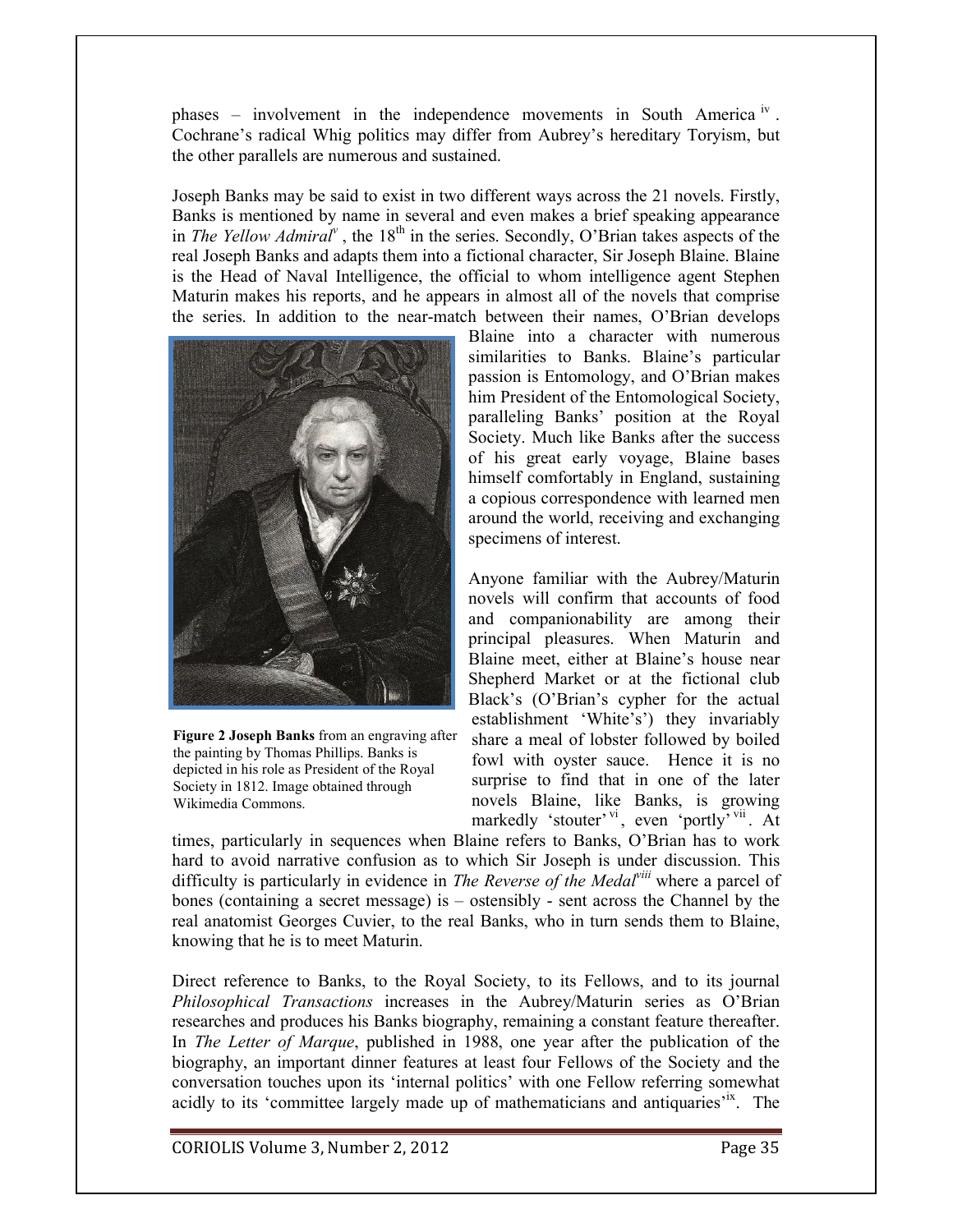phases – involvement in the independence movements in South America<sup>iv</sup>. Cochrane's radical Whig politics may differ from Aubrey's hereditary Toryism, but the other parallels are numerous and sustained.

Joseph Banks may be said to exist in two different ways across the 21 novels. Firstly, Banks is mentioned by name in several and even makes a brief speaking appearance in The Yellow Admiral<sup> $v$ </sup>, the 18<sup>th</sup> in the series. Secondly, O'Brian takes aspects of the real Joseph Banks and adapts them into a fictional character, Sir Joseph Blaine. Blaine is the Head of Naval Intelligence, the official to whom intelligence agent Stephen Maturin makes his reports, and he appears in almost all of the novels that comprise the series. In addition to the near-match between their names, O'Brian develops



Figure 2 Joseph Banks from an engraving after the painting by Thomas Phillips. Banks is depicted in his role as President of the Royal Society in 1812. Image obtained through Wikimedia Commons.

Blaine into a character with numerous similarities to Banks. Blaine's particular passion is Entomology, and O'Brian makes him President of the Entomological Society, paralleling Banks' position at the Royal Society. Much like Banks after the success of his great early voyage, Blaine bases himself comfortably in England, sustaining a copious correspondence with learned men around the world, receiving and exchanging specimens of interest.

Anyone familiar with the Aubrey/Maturin novels will confirm that accounts of food and companionability are among their principal pleasures. When Maturin and Blaine meet, either at Blaine's house near Shepherd Market or at the fictional club Black's (O'Brian's cypher for the actual establishment 'White's') they invariably share a meal of lobster followed by boiled fowl with oyster sauce. Hence it is no surprise to find that in one of the later novels Blaine, like Banks, is growing markedly 'stouter'<sup>vi</sup>, even 'portly'<sup>vii</sup>. At

times, particularly in sequences when Blaine refers to Banks, O'Brian has to work hard to avoid narrative confusion as to which Sir Joseph is under discussion. This difficulty is particularly in evidence in The Reverse of the Medal<sup>viii</sup> where a parcel of bones (containing a secret message) is  $-$  ostensibly - sent across the Channel by the real anatomist Georges Cuvier, to the real Banks, who in turn sends them to Blaine, knowing that he is to meet Maturin.

Direct reference to Banks, to the Royal Society, to its Fellows, and to its journal Philosophical Transactions increases in the Aubrey/Maturin series as O'Brian researches and produces his Banks biography, remaining a constant feature thereafter. In *The Letter of Marque*, published in 1988, one year after the publication of the biography, an important dinner features at least four Fellows of the Society and the conversation touches upon its 'internal politics' with one Fellow referring somewhat acidly to its 'committee largely made up of mathematicians and antiquaries<sup>tx</sup>. The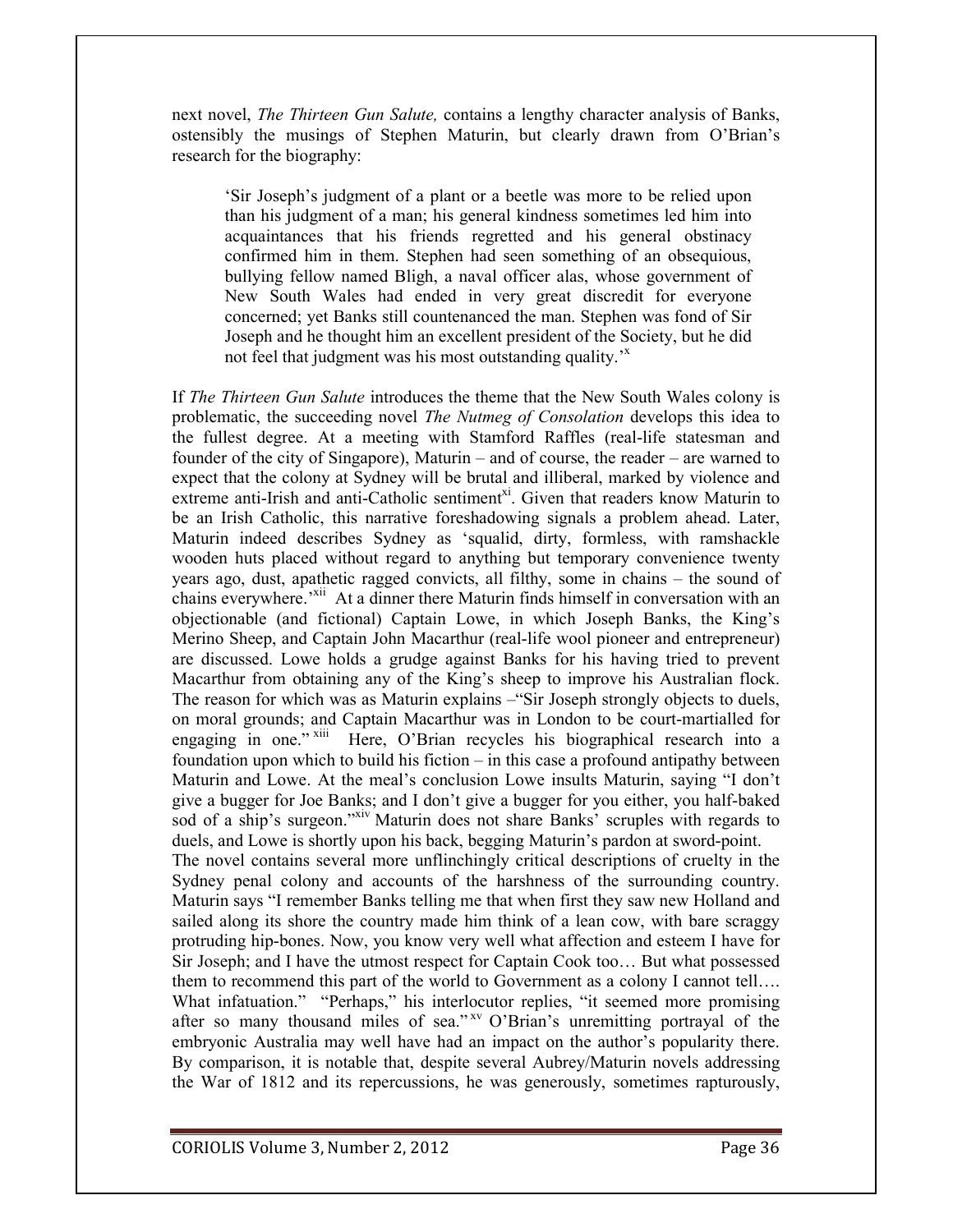next novel, *The Thirteen Gun Salute*, contains a lengthy character analysis of Banks, ostensibly the musings of Stephen Maturin, but clearly drawn from O'Brian's research for the biography:

'Sir Joseph's judgment of a plant or a beetle was more to be relied upon than his judgment of a man; his general kindness sometimes led him into acquaintances that his friends regretted and his general obstinacy confirmed him in them. Stephen had seen something of an obsequious, bullying fellow named Bligh, a naval officer alas, whose government of New South Wales had ended in very great discredit for everyone concerned; yet Banks still countenanced the man. Stephen was fond of Sir Joseph and he thought him an excellent president of the Society, but he did not feel that judgment was his most outstanding quality.<sup>3x</sup>

If *The Thirteen Gun Salute* introduces the theme that the New South Wales colony is problematic, the succeeding novel *The Nutmeg of Consolation* develops this idea to the fullest degree. At a meeting with Stamford Raffles (real-life statesman and founder of the city of Singapore), Maturin – and of course, the reader – are warned to expect that the colony at Sydney will be brutal and illiberal, marked by violence and extreme anti-Irish and anti-Catholic sentiment<sup>xi</sup>. Given that readers know Maturin to be an Irish Catholic, this narrative foreshadowing signals a problem ahead. Later, Maturin indeed describes Sydney as 'squalid, dirty, formless, with ramshackle wooden huts placed without regard to anything but temporary convenience twenty years ago, dust, apathetic ragged convicts, all filthy, some in chains – the sound of chains everywhere.<sup>xii</sup> At a dinner there Maturin finds himself in conversation with an objectionable (and fictional) Captain Lowe, in which Joseph Banks, the King's Merino Sheep, and Captain John Macarthur (real-life wool pioneer and entrepreneur) are discussed. Lowe holds a grudge against Banks for his having tried to prevent Macarthur from obtaining any of the King's sheep to improve his Australian flock. The reason for which was as Maturin explains – "Sir Joseph strongly objects to duels, on moral grounds; and Captain Macarthur was in London to be court-martialled for engaging in one." Xiii Here, O'Brian recycles his biographical research into a foundation upon which to build his fiction – in this case a profound antipathy between Maturin and Lowe. At the meal's conclusion Lowe insults Maturin, saying "I don't give a bugger for Joe Banks; and I don't give a bugger for you either, you half-baked sod of a ship's surgeon."xiv Maturin does not share Banks' scruples with regards to duels, and Lowe is shortly upon his back, begging Maturin's pardon at sword-point. The novel contains several more unfline hingly critical descriptions of cruelty in the Sydney penal colony and accounts of the harshness of the surrounding country. Maturin says "I remember Banks telling me that when first they saw new Holland and sailed along its shore the country made him think of a lean cow, with bare scraggy protruding hip-bones. Now, you know very well what affection and esteem I have for Sir Joseph; and I have the utmost respect for Captain Cook too... But what possessed them to recommend this part of the world to Government as a colony I cannot tell.... What infatuation." "Perhaps," his interlocutor replies, "it seemed more promising after so many thousand miles of sea."<sup>xv</sup> O'Brian's unremitting portrayal of the embryonic Australia may well have had an impact on the author's popularity there. By comparison, it is notable that, despite several Aubrey/Maturin novels addressing the War of 1812 and its repercussions, he was generously, sometimes rapturously,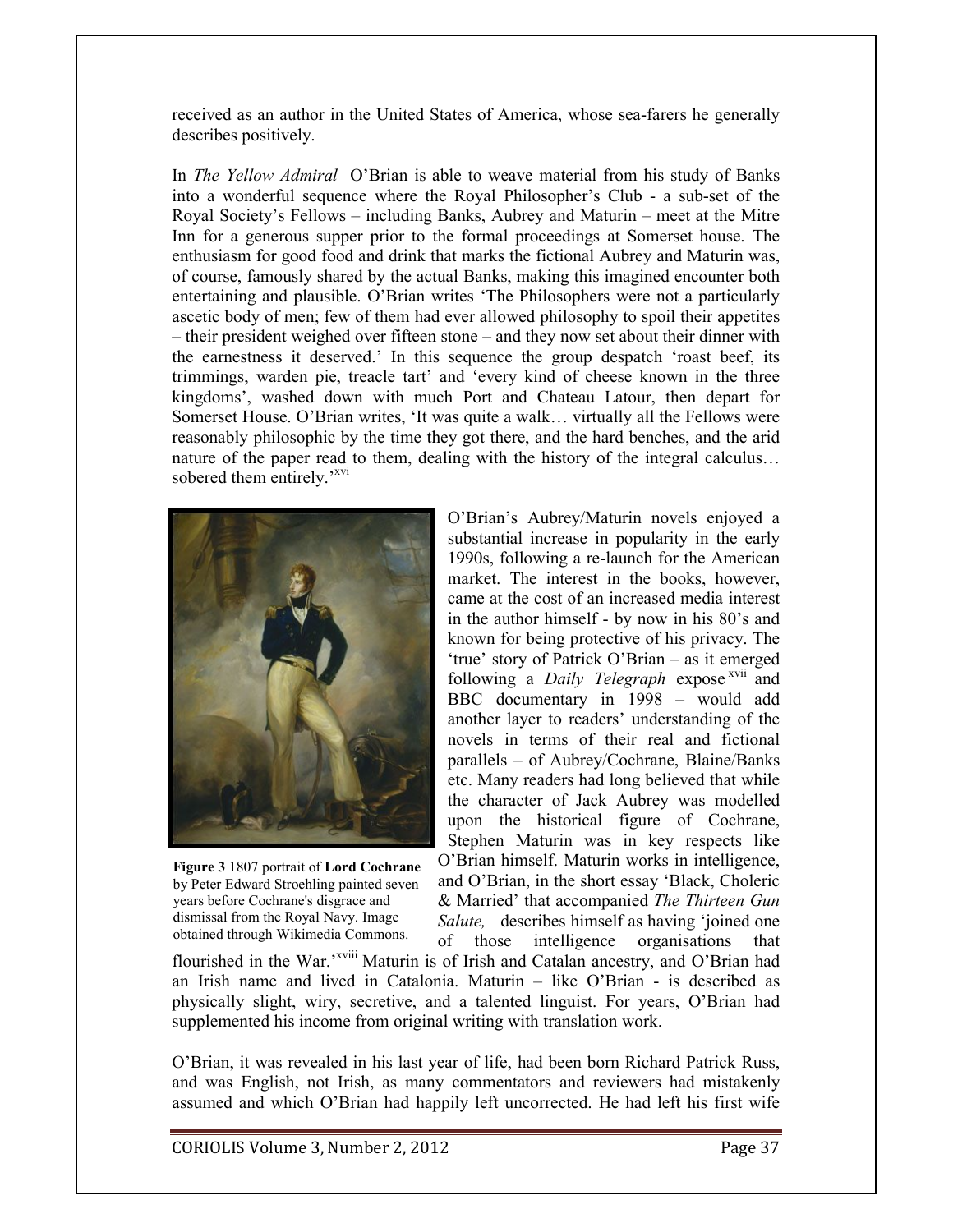received as an author in the United States of America, whose sea-farers he generally describes positively.

In *The Yellow Admiral* O'Brian is able to weave material from his study of Banks into a wonderful sequence where the Royal Philosopher's Club - a sub-set of the Royal Society's Fellows – including Banks, Aubrey and Maturin – meet at the Mitre Inn for a generous supper prior to the formal proceedings at Somerset house. The enthusiasm for good food and drink that marks the fictional Aubrey and Maturin was, of course, famously shared by the actual Banks, making this imagined encounter both entertaining and plausible. O'Brian writes 'The Philosophers were not a particularly ascetic body of men; few of them had ever allowed philosophy to spoil their appetites - their president weighed over fifteen stone – and they now set about their dinner with the earnestness it deserved.' In this sequence the group despatch 'roast beef, its trimmings, warden pie, treacle tart' and 'every kind of cheese known in the three kingdoms', washed down with much Port and Chateau Latour, then depart for Somerset House. O'Brian writes, 'It was quite a walk... virtually all the Fellows were reasonably philosophic by the time they got there, and the hard benches, and the arid nature of the paper read to them, dealing with the history of the integral calculus... sobered them entirely.'<sup>xvi</sup>



Figure 3 1807 portrait of Lord Cochrane by Peter Edward Stroehling painted seven years before Cochrane's disgrace and dismissal from the Royal Navy. Image obtained through Wikimedia Commons.

O'Brian's Aubrey/Maturin novels enjoyed a substantial increase in popularity in the early 1990s, following a re-launch for the American market. The interest in the books, however, came at the cost of an increased media interest in the author himself - by now in his 80's and known for being protective of his privacy. The 'true' story of Patrick O'Brian – as it emerged following a *Daily Telegraph* expose<sup>xvii</sup> and BBC documentary in 1998 - would add another layer to readers' understanding of the novels in terms of their real and fictional parallels – of Aubrey/Cochrane, Blaine/Banks etc. Many readers had long believed that while the character of Jack Aubrey was modelled upon the historical figure of Cochrane, Stephen Maturin was in key respects like O'Brian himself. Maturin works in intelligence, and O'Brian, in the short essay 'Black, Choleric & Married' that accompanied The Thirteen Gun Salute, describes himself as having 'joined one

of those intelligence organisations that flourished in the War.<sup>, xviii</sup> Maturin is of Irish and Catalan ancestry, and O'Brian had an Irish name and lived in Catalonia. Maturin - like O'Brian - is described as physically slight, wiry, secretive, and a talented linguist. For years, O'Brian had supplemented his income from original writing with translation work.

O'Brian, it was revealed in his last year of life, had been born Richard Patrick Russ, and was English, not Irish, as many commentators and reviewers had mistakenly assumed and which O'Brian had happily left uncorrected. He had left his first wife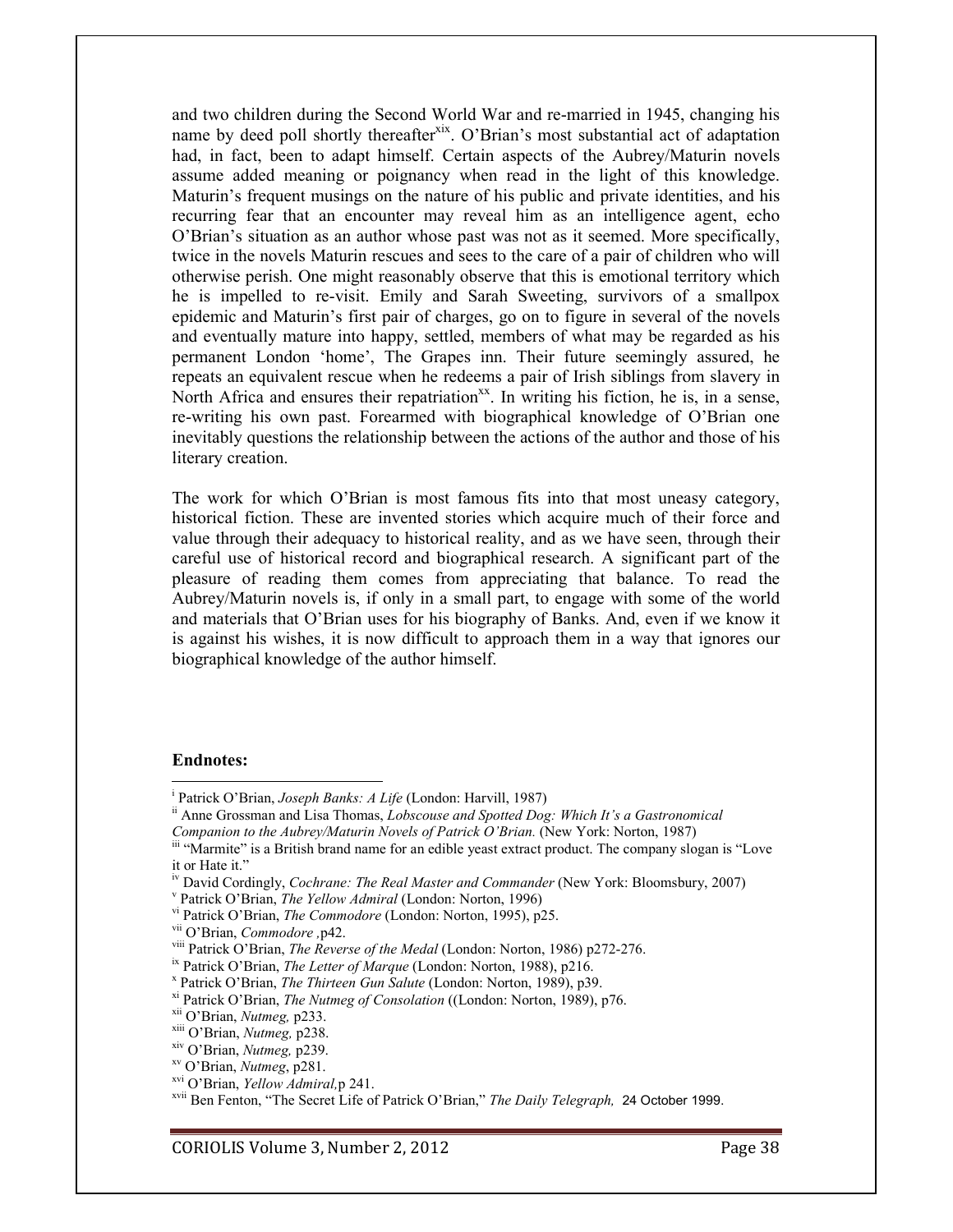and two children during the Second World War and re-married in 1945, changing his name by deed poll shortly thereafter<sup>xix</sup>. O'Brian's most substantial act of adaptation had, in fact, been to adapt himself. Certain aspects of the Aubrey/Maturin novels assume added meaning or poignancy when read in the light of this knowledge. Maturin's frequent musings on the nature of his public and private identities, and his recurring fear that an encounter may reveal him as an intelligence agent, echo O'Brian's situation as an author whose past was not as it seemed. More specifically, twice in the novels Maturin rescues and sees to the care of a pair of children who will otherwise perish. One might reasonably observe that this is emotional territory which he is impelled to re-visit. Emily and Sarah Sweeting, survivors of a smallpox epidemic and Maturin's first pair of charges, go on to figure in several of the novels and eventually mature into happy, settled, members of what may be regarded as his permanent London 'home', The Grapes inn. Their future seemingly assured, he repeats an equivalent rescue when he redeems a pair of Irish siblings from slavery in North Africa and ensures their repatriation<sup>xx</sup>. In writing his fiction, he is, in a sense, re-writing his own past. Forearmed with biographical knowledge of O'Brian one inevitably questions the relationship between the actions of the author and those of his literary creation.

The work for which O'Brian is most famous fits into that most uneasy category, historical fiction. These are invented stories which acquire much of their force and value through their adequacy to historical reality, and as we have seen, through their careful use of historical record and biographical research. A significant part of the pleasure of reading them comes from appreciating that balance. To read the Aubrey/Maturin novels is, if only in a small part, to engage with some of the world and materials that O'Brian uses for his biography of Banks. And, even if we know it is against his wishes, it is now difficult to approach them in a way that ignores our biographical knowledge of the author himself.

#### **Endnotes:**

<sup>&</sup>lt;sup>i</sup> Patrick O'Brian, *Joseph Banks: A Life* (London: Harvill, 1987)

<sup>&</sup>lt;sup>ii</sup> Anne Grossman and Lisa Thomas, Lobscouse and Spotted Dog: Which It's a Gastronomical

Companion to the Aubrey/Maturin Novels of Patrick O'Brian. (New York: Norton, 1987)

iii "Marmite" is a British brand name for an edible yeast extract product. The company slogan is "Love it or Hate it."

iv David Cordingly, Cochrane: The Real Master and Commander (New York: Bloomsbury, 2007)

<sup>&</sup>lt;sup>v</sup> Patrick O'Brian, *The Yellow Admiral* (London: Norton, 1996)

vi Patrick O'Brian, The Commodore (London: Norton, 1995), p25.

<sup>&</sup>lt;sup>vii</sup> O'Brian, *Commodore*, p42.

viii Patrick O'Brian, The Reverse of the Medal (London: Norton, 1986) p272-276.

<sup>&</sup>lt;sup>ix</sup> Patrick O'Brian, *The Letter of Marque* (London: Norton, 1988), p216.

<sup>&</sup>lt;sup>x</sup> Patrick O'Brian, The Thirteen Gun Salute (London: Norton, 1989), p39.

<sup>&</sup>lt;sup>xi</sup> Patrick O'Brian, The Nutmeg of Consolation ((London: Norton, 1989), p76.

<sup>&</sup>lt;sup>xii</sup> O'Brian, Nutmeg, p233.

<sup>&</sup>lt;sup>xiii</sup> O'Brian, Nutmeg, p238.

<sup>&</sup>lt;sup>xiv</sup> O'Brian, *Nutmeg*, p239.

<sup>&</sup>lt;sup>xv</sup> O'Brian, Nutmeg, p281.

<sup>&</sup>lt;sup>xvi</sup> O'Brian, Yellow Admiral, p 241.

<sup>&</sup>lt;sup>xvii</sup> Ben Fenton, "The Secret Life of Patrick O'Brian," The Daily Telegraph, 24 October 1999.